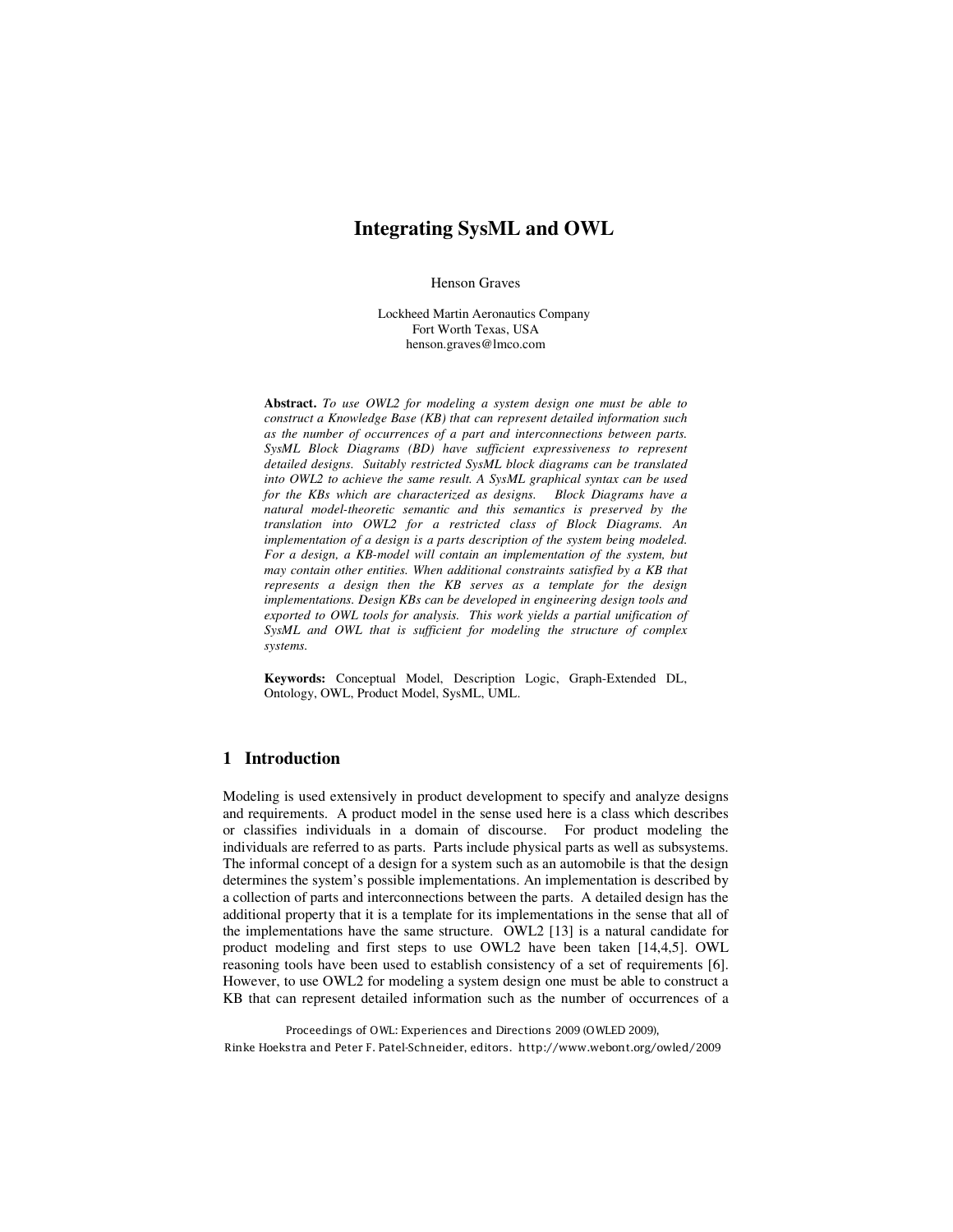# **Integrating SysML and OWL**

Henson Graves

Lockheed Martin Aeronautics Company Fort Worth Texas, USA henson.graves@lmco.com

**Abstract.** *To use OWL2 for modeling a system design one must be able to construct a Knowledge Base (KB) that can represent detailed information such as the number of occurrences of a part and interconnections between parts. SysML Block Diagrams (BD) have sufficient expressiveness to represent detailed designs. Suitably restricted SysML block diagrams can be translated into OWL2 to achieve the same result. A SysML graphical syntax can be used for the KBs which are characterized as designs. Block Diagrams have a natural model-theoretic semantic and this semantics is preserved by the translation into OWL2 for a restricted class of Block Diagrams. An implementation of a design is a parts description of the system being modeled. For a design, a KB-model will contain an implementation of the system, but may contain other entities. When additional constraints satisfied by a KB that represents a design then the KB serves as a template for the design implementations. Design KBs can be developed in engineering design tools and exported to OWL tools for analysis. This work yields a partial unification of SysML and OWL that is sufficient for modeling the structure of complex systems.*

**Keywords:** Conceptual Model, Description Logic, Graph-Extended DL, Ontology, OWL, Product Model, SysML, UML.

## **1 Introduction**

Modeling is used extensively in product development to specify and analyze designs and requirements. A product model in the sense used here is a class which describes or classifies individuals in a domain of discourse. For product modeling the individuals are referred to as parts. Parts include physical parts as well as subsystems. The informal concept of a design for a system such as an automobile is that the design determines the system's possible implementations. An implementation is described by a collection of parts and interconnections between the parts. A detailed design has the additional property that it is a template for its implementations in the sense that all of the implementations have the same structure. OWL2 [13] is a natural candidate for product modeling and first steps to use OWL2 have been taken [14,4,5]. OWL reasoning tools have been used to establish consistency of a set of requirements [6]. However, to use OWL2 for modeling a system design one must be able to construct a KB that can represent detailed information such as the number of occurrences of a

Proceedings of OWL: Experiences and Directions 2009 (OWLED 2009), Rinke Hoekstra and Peter F. Patel-Schneider, editors. http://www.webont.org/owled/2009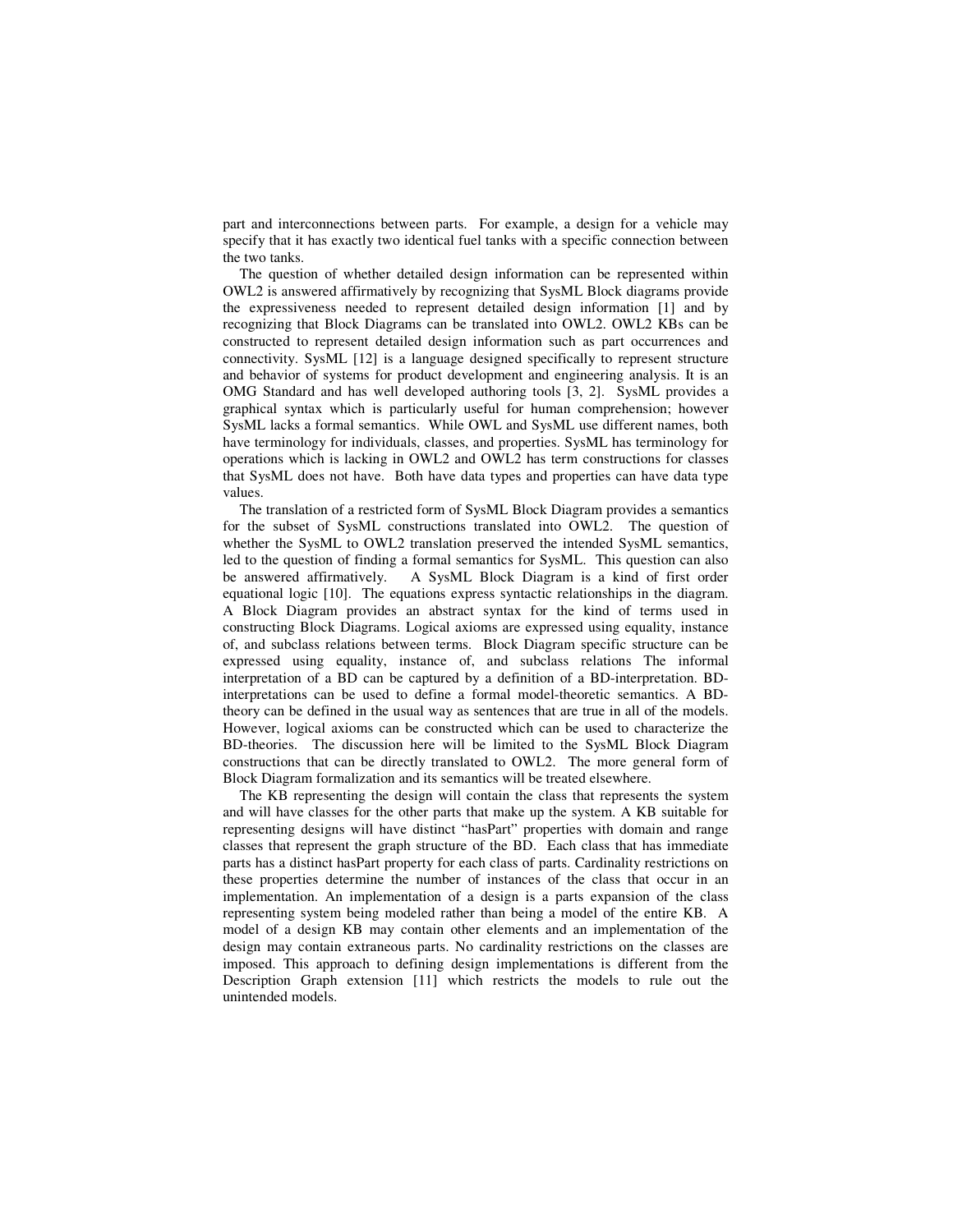part and interconnections between parts. For example, a design for a vehicle may specify that it has exactly two identical fuel tanks with a specific connection between the two tanks.

The question of whether detailed design information can be represented within OWL2 is answered affirmatively by recognizing that SysML Block diagrams provide the expressiveness needed to represent detailed design information [1] and by recognizing that Block Diagrams can be translated into OWL2. OWL2 KBs can be constructed to represent detailed design information such as part occurrences and connectivity. SysML [12] is a language designed specifically to represent structure and behavior of systems for product development and engineering analysis. It is an OMG Standard and has well developed authoring tools [3, 2]. SysML provides a graphical syntax which is particularly useful for human comprehension; however SysML lacks a formal semantics. While OWL and SysML use different names, both have terminology for individuals, classes, and properties. SysML has terminology for operations which is lacking in OWL2 and OWL2 has term constructions for classes that SysML does not have. Both have data types and properties can have data type values.

The translation of a restricted form of SysML Block Diagram provides a semantics for the subset of SysML constructions translated into OWL2. The question of whether the SysML to OWL2 translation preserved the intended SysML semantics, led to the question of finding a formal semantics for SysML. This question can also be answered affirmatively. A SysML Block Diagram is a kind of first order equational logic [10]. The equations express syntactic relationships in the diagram. A Block Diagram provides an abstract syntax for the kind of terms used in constructing Block Diagrams. Logical axioms are expressed using equality, instance of, and subclass relations between terms. Block Diagram specific structure can be expressed using equality, instance of, and subclass relations The informal interpretation of a BD can be captured by a definition of a BD-interpretation. BDinterpretations can be used to define a formal model-theoretic semantics. A BDtheory can be defined in the usual way as sentences that are true in all of the models. However, logical axioms can be constructed which can be used to characterize the BD-theories. The discussion here will be limited to the SysML Block Diagram constructions that can be directly translated to OWL2. The more general form of Block Diagram formalization and its semantics will be treated elsewhere.

The KB representing the design will contain the class that represents the system and will have classes for the other parts that make up the system. A KB suitable for representing designs will have distinct "hasPart" properties with domain and range classes that represent the graph structure of the BD. Each class that has immediate parts has a distinct hasPart property for each class of parts. Cardinality restrictions on these properties determine the number of instances of the class that occur in an implementation. An implementation of a design is a parts expansion of the class representing system being modeled rather than being a model of the entire KB. A model of a design KB may contain other elements and an implementation of the design may contain extraneous parts. No cardinality restrictions on the classes are imposed. This approach to defining design implementations is different from the Description Graph extension [11] which restricts the models to rule out the unintended models.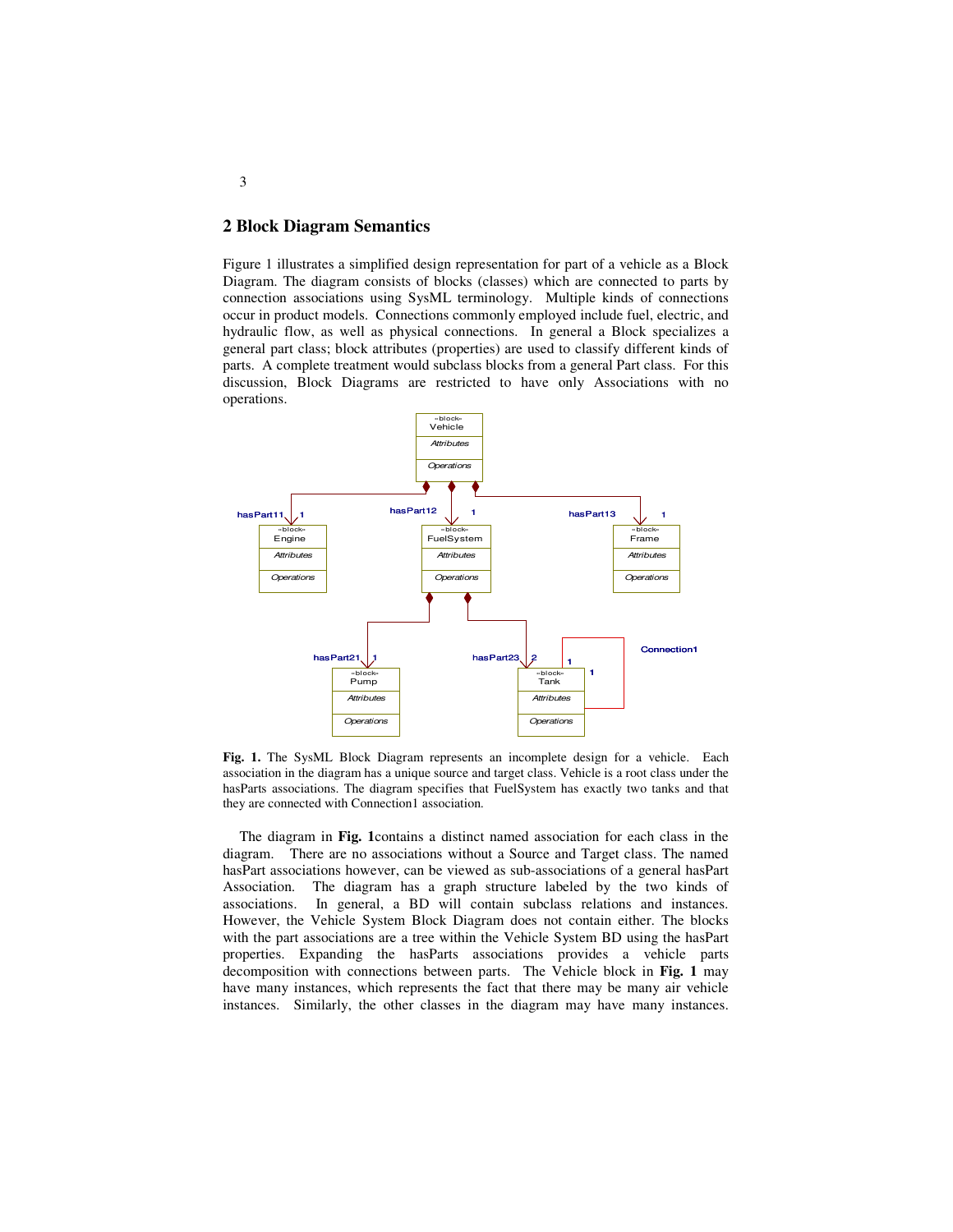# **2 Block Diagram Semantics**

Figure 1 illustrates a simplified design representation for part of a vehicle as a Block Diagram. The diagram consists of blocks (classes) which are connected to parts by connection associations using SysML terminology. Multiple kinds of connections occur in product models. Connections commonly employed include fuel, electric, and hydraulic flow, as well as physical connections. In general a Block specializes a general part class; block attributes (properties) are used to classify different kinds of parts. A complete treatment would subclass blocks from a general Part class. For this discussion, Block Diagrams are restricted to have only Associations with no operations.



**Fig. 1.** The SysML Block Diagram represents an incomplete design for a vehicle. Each association in the diagram has a unique source and target class. Vehicle is a root class under the hasParts associations. The diagram specifies that FuelSystem has exactly two tanks and that they are connected with Connection1 association.

The diagram in **Fig. 1**contains a distinct named association for each class in the diagram. There are no associations without a Source and Target class. The named hasPart associations however, can be viewed as sub-associations of a general hasPart Association. The diagram has a graph structure labeled by the two kinds of associations. In general, a BD will contain subclass relations and instances. However, the Vehicle System Block Diagram does not contain either. The blocks with the part associations are a tree within the Vehicle System BD using the hasPart properties. Expanding the hasParts associations provides a vehicle parts decomposition with connections between parts. The Vehicle block in **Fig. 1** may have many instances, which represents the fact that there may be many air vehicle instances. Similarly, the other classes in the diagram may have many instances.

3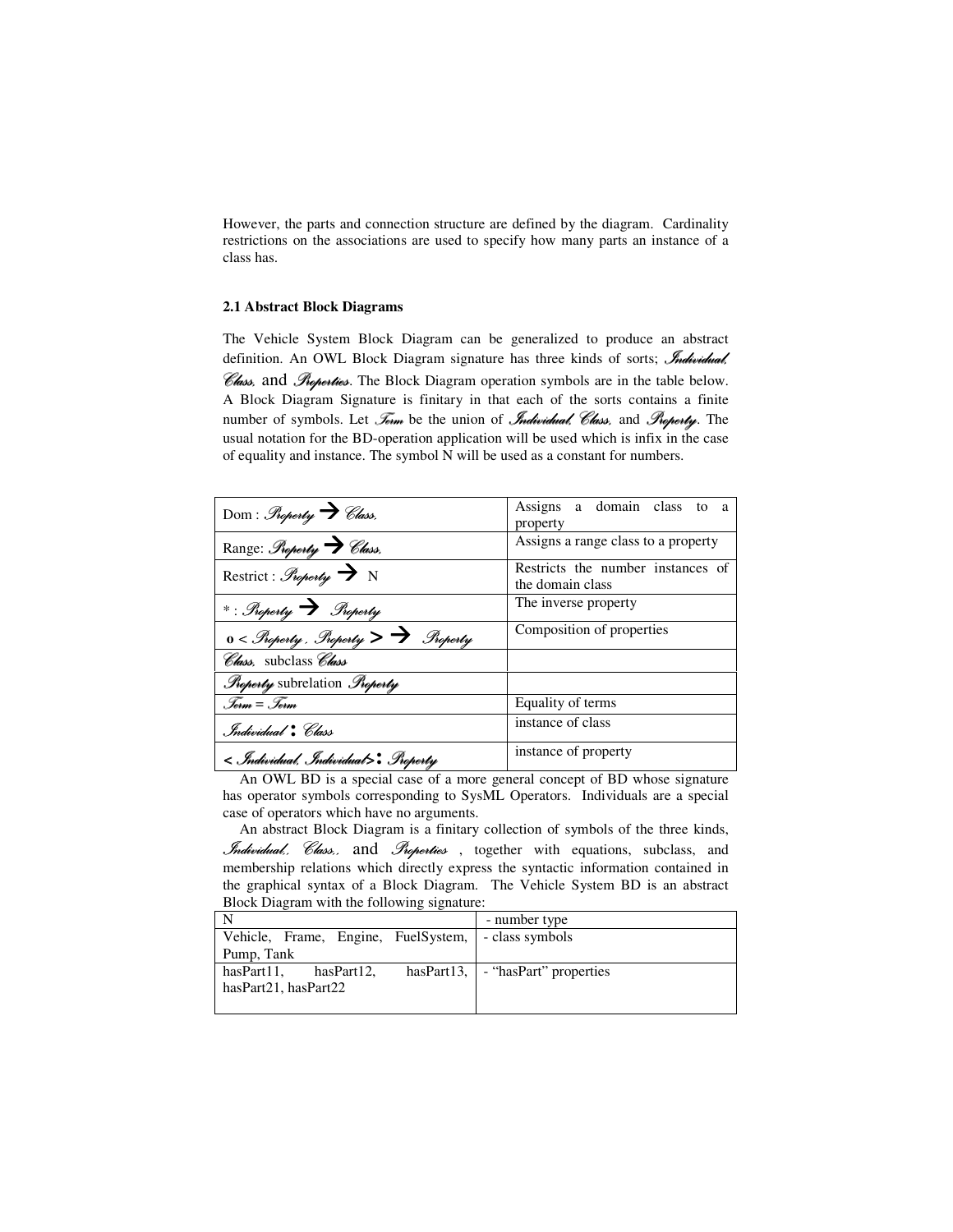However, the parts and connection structure are defined by the diagram. Cardinality restrictions on the associations are used to specify how many parts an instance of a class has.

#### **2.1 Abstract Block Diagrams**

The Vehicle System Block Diagram can be generalized to produce an abstract definition. An OWL Block Diagram signature has three kinds of sorts; *Individual*, *Elass*, and *Properties*. The Block Diagram operation symbols are in the table below. A Block Diagram Signature is finitary in that each of the sorts contains a finite number of symbols. Let Joim be the union of Individual, Class, and Property. The usual notation for the BD-operation application will be used which is infix in the case of equality and instance. The symbol N will be used as a constant for numbers.

| Dom: Property V Class.                              | Assigns a domain class to a<br>property               |
|-----------------------------------------------------|-------------------------------------------------------|
| Range: Property > Class.                            | Assigns a range class to a property                   |
| Restrict: Property $\rightarrow$ N                  | Restricts the number instances of<br>the domain class |
| $*$ : Property $\rightarrow$ Property               | The inverse property                                  |
| $0 <$ Property. Property $>$ $\rightarrow$ Property | Composition of properties                             |
| Class, subclass Class                               |                                                       |
| <i>Property</i> subrelation Property                |                                                       |
| . Term $=$ . Term                                   | Equality of terms                                     |
| . Individual * Class                                | instance of class                                     |
| < Individual, Individual>: Property                 | instance of property                                  |

An OWL BD is a special case of a more general concept of BD whose signature has operator symbols corresponding to SysML Operators. Individuals are a special case of operators which have no arguments.

An abstract Block Diagram is a finitary collection of symbols of the three kinds, Individual, Class, and Properties , together with equations, subclass, and membership relations which directly express the syntactic information contained in the graphical syntax of a Block Diagram. The Vehicle System BD is an abstract Block Diagram with the following signature:

|                                                     | - number type                             |
|-----------------------------------------------------|-------------------------------------------|
| Vehicle, Frame, Engine, FuelSystem, - class symbols |                                           |
| Pump, Tank                                          |                                           |
| hasPart11.<br>hasPart12.                            | hasPart13, $\vert$ - "hasPart" properties |
| hasPart21, hasPart22                                |                                           |
|                                                     |                                           |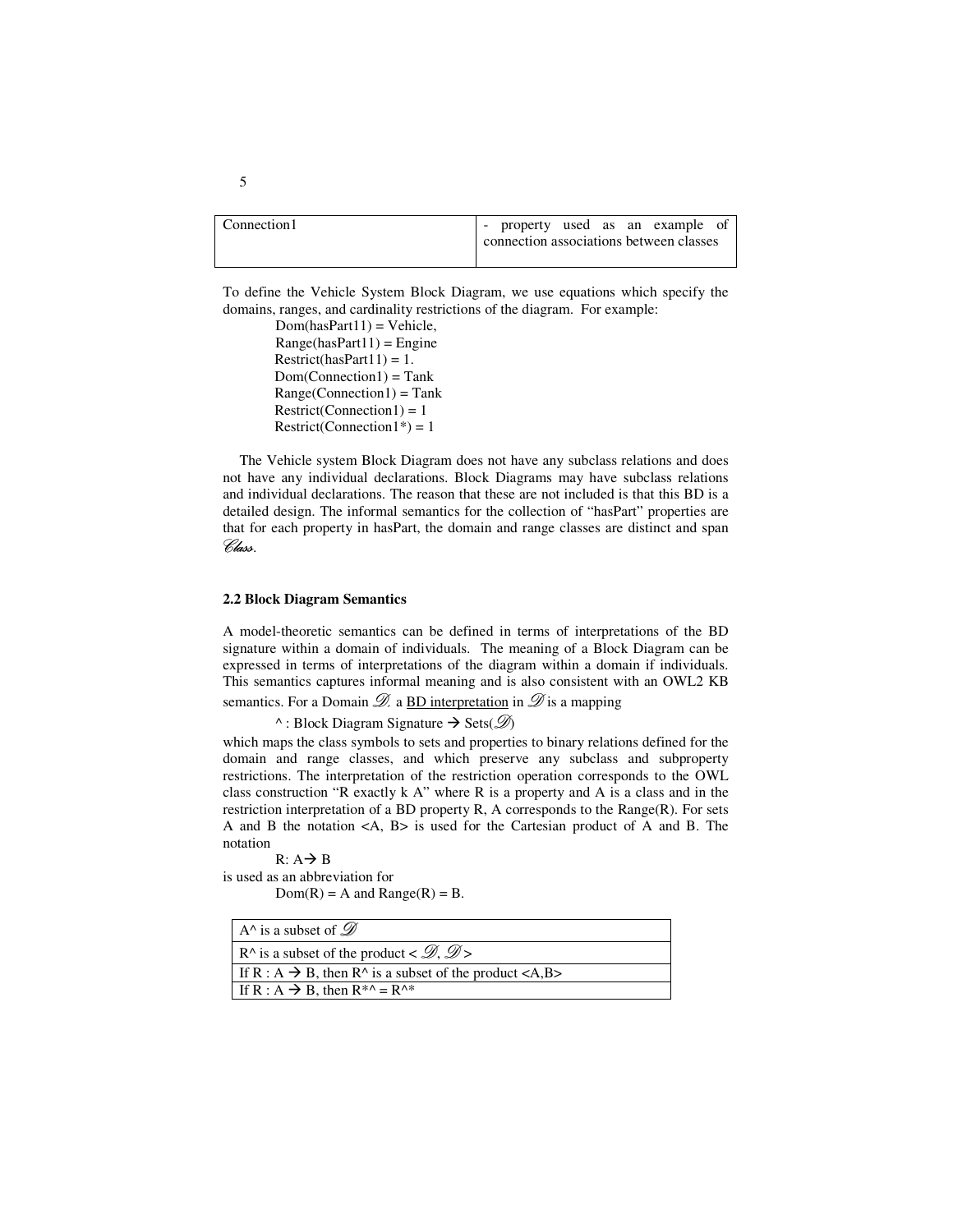Connection 1 - property used as an example of connection associations between classes

To define the Vehicle System Block Diagram, we use equations which specify the domains, ranges, and cardinality restrictions of the diagram. For example:

> $Dom(hasPart11) = Vehicle,$  $Range(hasPart11) = Engine$  $Restrict(hasPart11) = 1.$  $Dom(Connection1) = Tank$  $Range(Connection1) = Tank$  $Restrict(Connection1) = 1$  $Restrict(Connection1*) = 1$

The Vehicle system Block Diagram does not have any subclass relations and does not have any individual declarations. Block Diagrams may have subclass relations and individual declarations. The reason that these are not included is that this BD is a detailed design. The informal semantics for the collection of "hasPart" properties are that for each property in hasPart, the domain and range classes are distinct and span Class.

#### **2.2 Block Diagram Semantics**

A model-theoretic semantics can be defined in terms of interpretations of the BD signature within a domain of individuals. The meaning of a Block Diagram can be expressed in terms of interpretations of the diagram within a domain if individuals. This semantics captures informal meaning and is also consistent with an OWL2 KB semantics. For a Domain  $\mathscr{D}$  a BD interpretation in  $\mathscr{D}$  is a mapping

 $\wedge$ : Block Diagram Signature  $\rightarrow$  Sets( $\mathscr{D}$ )

which maps the class symbols to sets and properties to binary relations defined for the domain and range classes, and which preserve any subclass and subproperty restrictions. The interpretation of the restriction operation corresponds to the OWL class construction "R exactly  $k \nightharpoonup R$ " where R is a property and A is a class and in the restriction interpretation of a BD property R, A corresponds to the Range(R). For sets A and B the notation <A, B> is used for the Cartesian product of A and B. The notation

 $R: A \rightarrow B$ is used as an abbreviation for  $Dom(R) = A$  and  $Range(R) = B$ .

| A <sup><math>\land</math></sup> is a subset of $\mathscr{D}$                                                   |
|----------------------------------------------------------------------------------------------------------------|
| R <sup><math>\land</math></sup> is a subset of the product < $\mathcal{D}, \mathcal{D}$                        |
| If R : A $\rightarrow$ B, then R^ is a subset of the product <a,b></a,b>                                       |
| If R : A $\rightarrow$ B, then R <sup>*</sup> <sup><math>\land</math></sup> = R <sup><math>\land</math>*</sup> |

5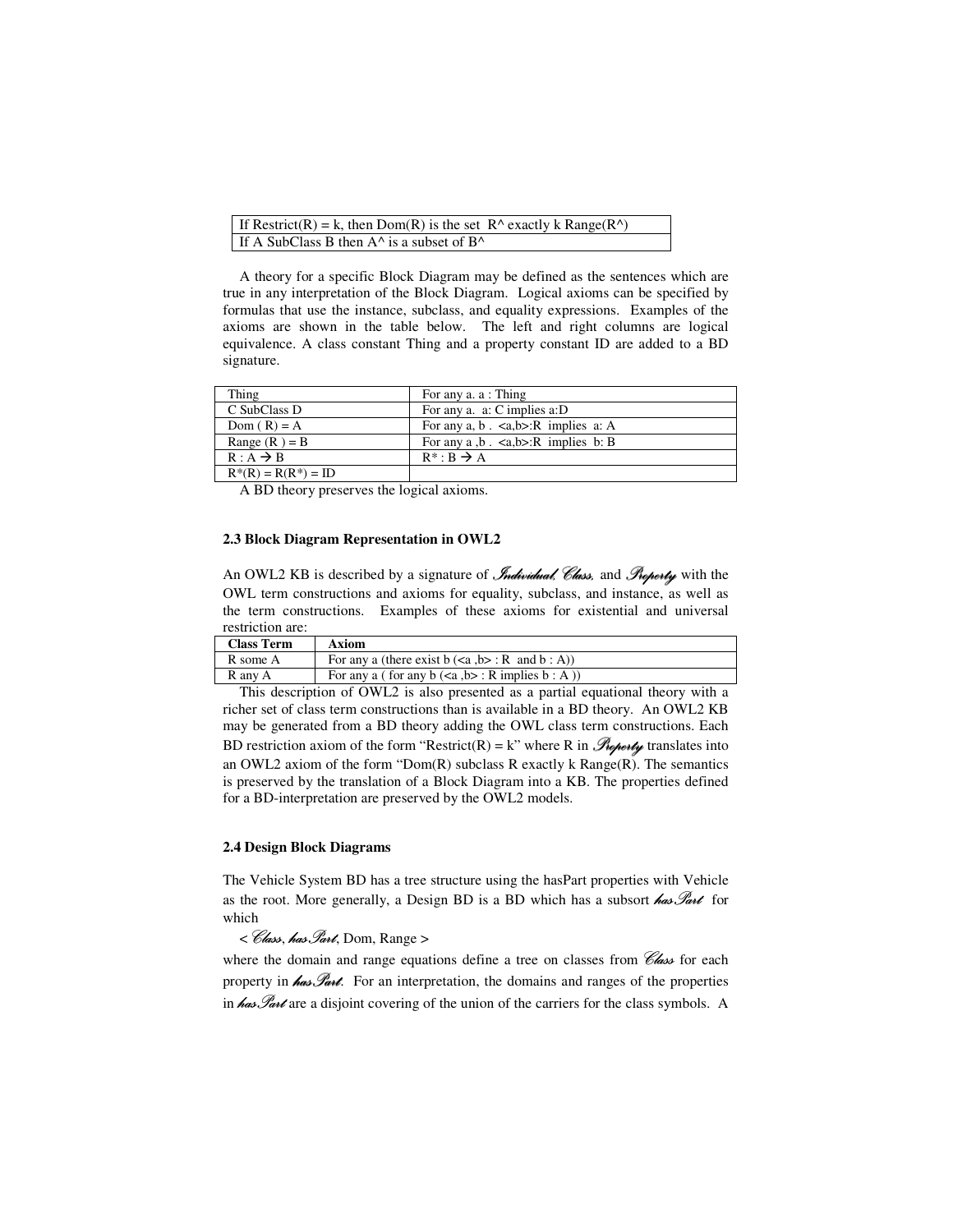| If Restrict(R) = k, then Dom(R) is the set $R^{\wedge}$ exactly k Range(R $^{\wedge}$ ) |  |
|-----------------------------------------------------------------------------------------|--|
| If A SubClass B then $A^{\wedge}$ is a subset of $B^{\wedge}$                           |  |

A theory for a specific Block Diagram may be defined as the sentences which are true in any interpretation of the Block Diagram. Logical axioms can be specified by formulas that use the instance, subclass, and equality expressions. Examples of the axioms are shown in the table below. The left and right columns are logical equivalence. A class constant Thing and a property constant ID are added to a BD signature.

| Thing                  | For any a. a : Thing                                   |
|------------------------|--------------------------------------------------------|
| C SubClass D           | For any a. a: C implies a: D                           |
| Dom $(R) = A$          | For any a, b. $\langle a,b\rangle$ : R implies a: A    |
| Range $(R) = B$        | For any a $\cdot$ b $\cdot$ <a,b>:R implies b: B</a,b> |
| $R: A \rightarrow B$   | $R^* : B \rightarrow A$                                |
| $R^*(R) = R(R^*) = ID$ |                                                        |

A BD theory preserves the logical axioms.

#### **2.3 Block Diagram Representation in OWL2**

An OWL2 KB is described by a signature of *Individual*. Class. and Property with the OWL term constructions and axioms for equality, subclass, and instance, as well as the term constructions. Examples of these axioms for existential and universal restriction are:

| <b>Class Term</b> | Axiom                                                    |
|-------------------|----------------------------------------------------------|
| R some A          | For any a (there exist $b \le a, b > : R$ and $b : A$ )  |
| R any A           | For any a ( for any $b \leq a, b$ ): R implies $b : A$ ) |

This description of OWL2 is also presented as a partial equational theory with a richer set of class term constructions than is available in a BD theory. An OWL2 KB may be generated from a BD theory adding the OWL class term constructions. Each BD restriction axiom of the form "Restrict(R) = k" where R in  $\mathcal{P}_{\text{top}}$  translates into an OWL2 axiom of the form "Dom(R) subclass R exactly k Range(R). The semantics is preserved by the translation of a Block Diagram into a KB. The properties defined for a BD-interpretation are preserved by the OWL2 models.

### **2.4 Design Block Diagrams**

The Vehicle System BD has a tree structure using the hasPart properties with Vehicle as the root. More generally, a Design BD is a BD which has a subsort  $\mathcal{A}_{\alpha\beta}$  for which

< Class, has Part, Dom, Range >

where the domain and range equations define a tree on classes from  $\mathscr{C}_{\mathscr{A}}$  for each property in  $\theta$  as  $\mathcal{G}_{\theta}$ . For an interpretation, the domains and ranges of the properties in  $\theta$ as  $\mathscr{P}_{\text{av}}$  are a disjoint covering of the union of the carriers for the class symbols. A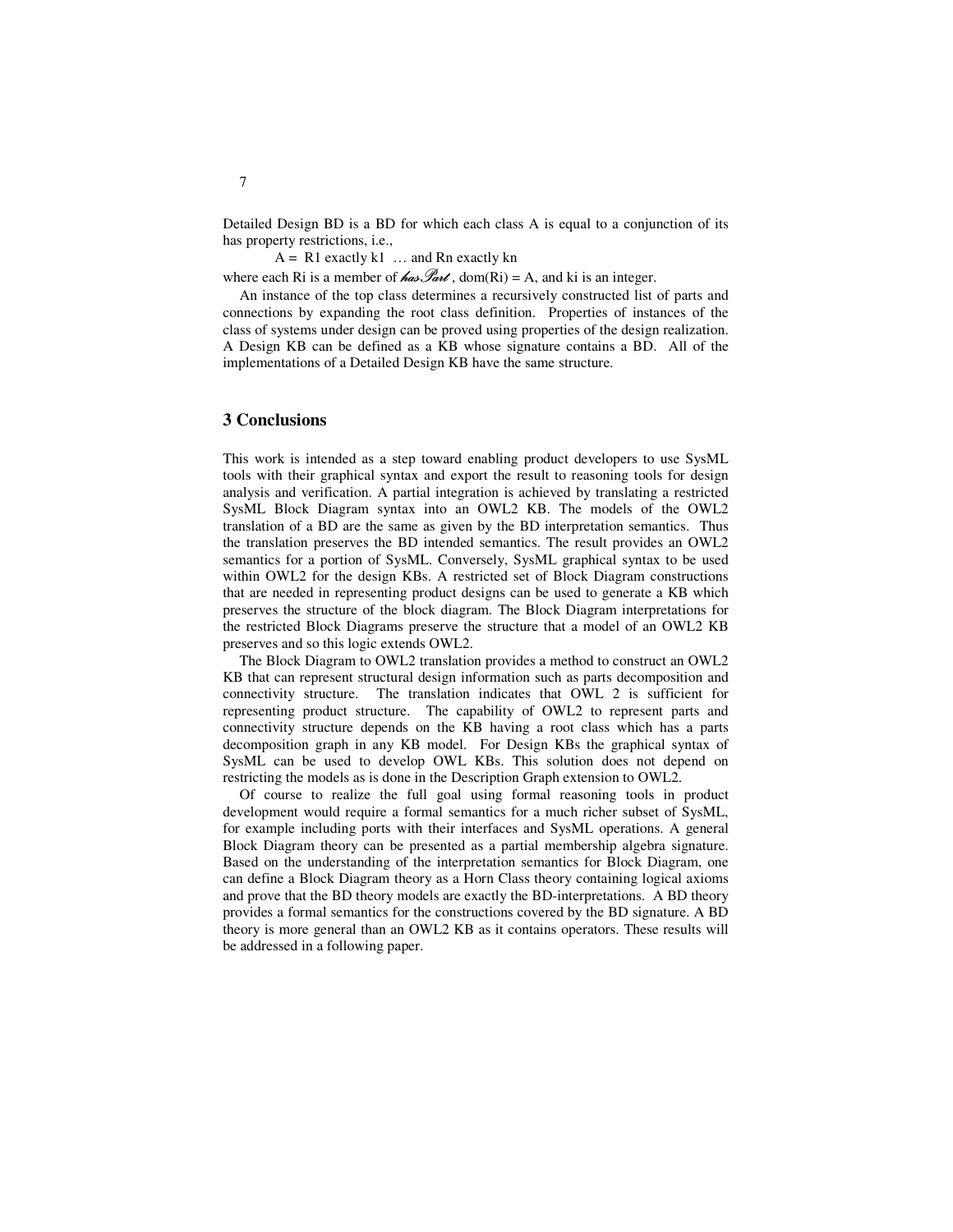Detailed Design BD is a BD for which each class A is equal to a conjunction of its has property restrictions, i.e.,

 $A = R1$  exactly k1 ... and Rn exactly kn

where each Ri is a member of  $\mathbb{A}$ as  $\mathbb{A}$   $\mathbb{A}$  , dom(Ri) = A, and ki is an integer.

An instance of the top class determines a recursively constructed list of parts and connections by expanding the root class definition. Properties of instances of the class of systems under design can be proved using properties of the design realization. A Design KB can be defined as a KB whose signature contains a BD. All of the implementations of a Detailed Design KB have the same structure.

## **3 Conclusions**

This work is intended as a step toward enabling product developers to use SysML tools with their graphical syntax and export the result to reasoning tools for design analysis and verification. A partial integration is achieved by translating a restricted SysML Block Diagram syntax into an OWL2 KB. The models of the OWL2 translation of a BD are the same as given by the BD interpretation semantics. Thus the translation preserves the BD intended semantics. The result provides an OWL2 semantics for a portion of SysML. Conversely, SysML graphical syntax to be used within OWL2 for the design KBs. A restricted set of Block Diagram constructions that are needed in representing product designs can be used to generate a KB which preserves the structure of the block diagram. The Block Diagram interpretations for the restricted Block Diagrams preserve the structure that a model of an OWL2 KB preserves and so this logic extends OWL2.

The Block Diagram to OWL2 translation provides a method to construct an OWL2 KB that can represent structural design information such as parts decomposition and connectivity structure. The translation indicates that OWL 2 is sufficient for representing product structure. The capability of OWL2 to represent parts and connectivity structure depends on the KB having a root class which has a parts decomposition graph in any KB model. For Design KBs the graphical syntax of SysML can be used to develop OWL KBs. This solution does not depend on restricting the models as is done in the Description Graph extension to OWL2.

Of course to realize the full goal using formal reasoning tools in product development would require a formal semantics for a much richer subset of SysML, for example including ports with their interfaces and SysML operations. A general Block Diagram theory can be presented as a partial membership algebra signature. Based on the understanding of the interpretation semantics for Block Diagram, one can define a Block Diagram theory as a Horn Class theory containing logical axioms and prove that the BD theory models are exactly the BD-interpretations. A BD theory provides a formal semantics for the constructions covered by the BD signature. A BD theory is more general than an OWL2 KB as it contains operators. These results will be addressed in a following paper.